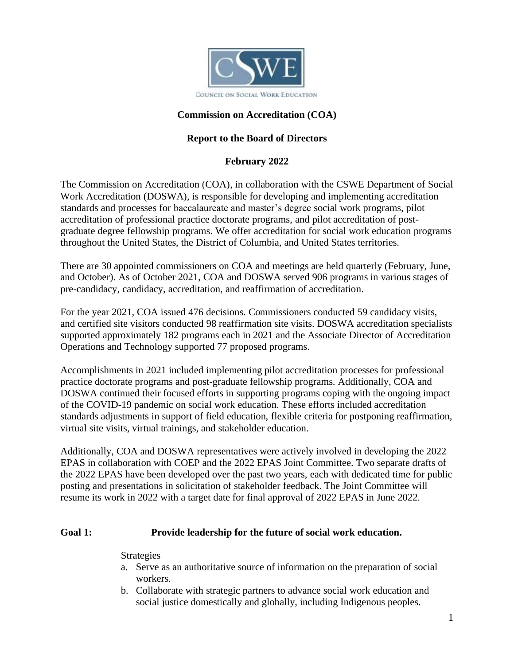

# **Commission on Accreditation (COA)**

## **Report to the Board of Directors**

## **February 2022**

The Commission on Accreditation (COA), in collaboration with the CSWE Department of Social Work Accreditation (DOSWA), is responsible for developing and implementing accreditation standards and processes for baccalaureate and master's degree social work programs, pilot accreditation of professional practice doctorate programs, and pilot accreditation of postgraduate degree fellowship programs. We offer accreditation for social work education programs throughout the United States, the District of Columbia, and United States territories.

There are 30 appointed commissioners on COA and meetings are held quarterly (February, June, and October). As of October 2021, COA and DOSWA served 906 programs in various stages of pre-candidacy, candidacy, accreditation, and reaffirmation of accreditation.

For the year 2021, COA issued 476 decisions. Commissioners conducted 59 candidacy visits, and certified site visitors conducted 98 reaffirmation site visits. DOSWA accreditation specialists supported approximately 182 programs each in 2021 and the Associate Director of Accreditation Operations and Technology supported 77 proposed programs.

Accomplishments in 2021 included implementing pilot accreditation processes for professional practice doctorate programs and post-graduate fellowship programs. Additionally, COA and DOSWA continued their focused efforts in supporting programs coping with the ongoing impact of the COVID-19 pandemic on social work education. These efforts included accreditation standards adjustments in support of field education, flexible criteria for postponing reaffirmation, virtual site visits, virtual trainings, and stakeholder education.

Additionally, COA and DOSWA representatives were actively involved in developing the 2022 EPAS in collaboration with COEP and the 2022 EPAS Joint Committee. Two separate drafts of the 2022 EPAS have been developed over the past two years, each with dedicated time for public posting and presentations in solicitation of stakeholder feedback. The Joint Committee will resume its work in 2022 with a target date for final approval of 2022 EPAS in June 2022.

## **Goal 1: [Provide leadership for the future of social work education.](https://www.cswe.org/About-CSWE/2020-Strategic-Plan#Goal1)**

#### Strategies

- a. Serve as an authoritative source of information on the preparation of social workers.
- b. Collaborate with strategic partners to advance social work education and social justice domestically and globally, including Indigenous peoples.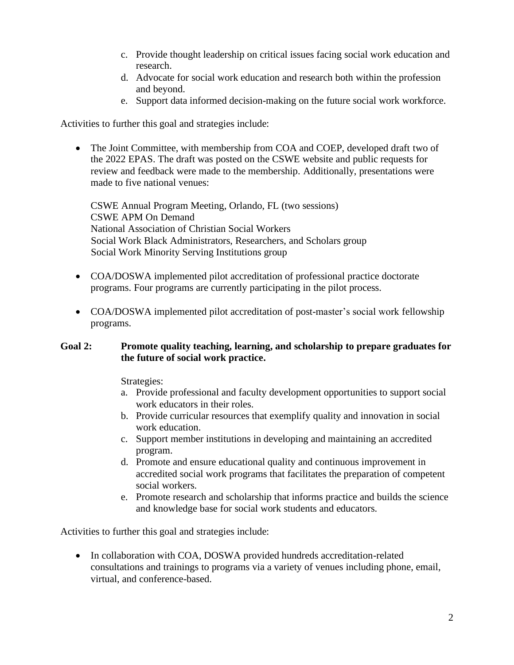- c. Provide thought leadership on critical issues facing social work education and research.
- d. Advocate for social work education and research both within the profession and beyond.
- e. Support data informed decision-making on the future social work workforce.

Activities to further this goal and strategies include:

• The Joint Committee, with membership from COA and COEP, developed draft two of the 2022 EPAS. The draft was posted on the CSWE website and public requests for review and feedback were made to the membership. Additionally, presentations were made to five national venues:

CSWE Annual Program Meeting, Orlando, FL (two sessions) CSWE APM On Demand National Association of Christian Social Workers Social Work Black Administrators, Researchers, and Scholars group Social Work Minority Serving Institutions group

- COA/DOSWA implemented pilot accreditation of professional practice doctorate programs. Four programs are currently participating in the pilot process.
- COA/DOSWA implemented pilot accreditation of post-master's social work fellowship programs.

## **Goal 2: [Promote quality teaching, learning, and scholarship to prepare graduates for](https://www.cswe.org/About-CSWE/2020-Strategic-Plan#Goal2)  [the future of social work practice.](https://www.cswe.org/About-CSWE/2020-Strategic-Plan#Goal2)**

Strategies:

- a. Provide professional and faculty development opportunities to support social work educators in their roles.
- b. Provide curricular resources that exemplify quality and innovation in social work education.
- c. Support member institutions in developing and maintaining an accredited program.
- d. Promote and ensure educational quality and continuous improvement in accredited social work programs that facilitates the preparation of competent social workers.
- e. Promote research and scholarship that informs practice and builds the science and knowledge base for social work students and educators.

Activities to further this goal and strategies include:

• In collaboration with COA, DOSWA provided hundreds accreditation-related consultations and trainings to programs via a variety of venues including phone, email, virtual, and conference-based.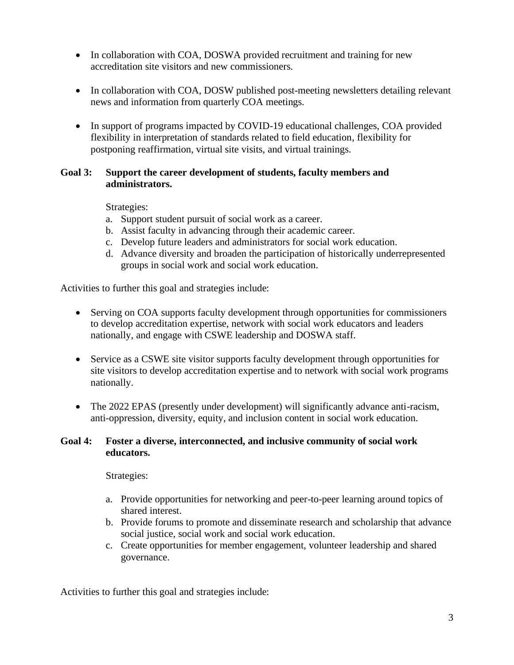- In collaboration with COA, DOSWA provided recruitment and training for new accreditation site visitors and new commissioners.
- In collaboration with COA, DOSW published post-meeting newsletters detailing relevant news and information from quarterly COA meetings.
- In support of programs impacted by COVID-19 educational challenges, COA provided flexibility in interpretation of standards related to field education, flexibility for postponing reaffirmation, virtual site visits, and virtual trainings.

### **Goal 3: [Support the career development of students, faculty members and](https://www.cswe.org/About-CSWE/2020-Strategic-Plan#Goal3)  [administrators.](https://www.cswe.org/About-CSWE/2020-Strategic-Plan#Goal3)**

Strategies:

- a. Support student pursuit of social work as a career.
- b. Assist faculty in advancing through their academic career.
- c. Develop future leaders and administrators for social work education.
- d. Advance diversity and broaden the participation of historically underrepresented groups in social work and social work education.

Activities to further this goal and strategies include:

- Serving on COA supports faculty development through opportunities for commissioners to develop accreditation expertise, network with social work educators and leaders nationally, and engage with CSWE leadership and DOSWA staff.
- Service as a CSWE site visitor supports faculty development through opportunities for site visitors to develop accreditation expertise and to network with social work programs nationally.
- The 2022 EPAS (presently under development) will significantly advance anti-racism, anti-oppression, diversity, equity, and inclusion content in social work education.

### **Goal 4: [Foster a diverse, interconnected, and inclusive community of social work](https://www.cswe.org/About-CSWE/2020-Strategic-Plan#Goal4)  [educators.](https://www.cswe.org/About-CSWE/2020-Strategic-Plan#Goal4)**

Strategies:

- a. Provide opportunities for networking and peer-to-peer learning around topics of shared interest.
- b. Provide forums to promote and disseminate research and scholarship that advance social justice, social work and social work education.
- c. Create opportunities for member engagement, volunteer leadership and shared governance.

Activities to further this goal and strategies include: